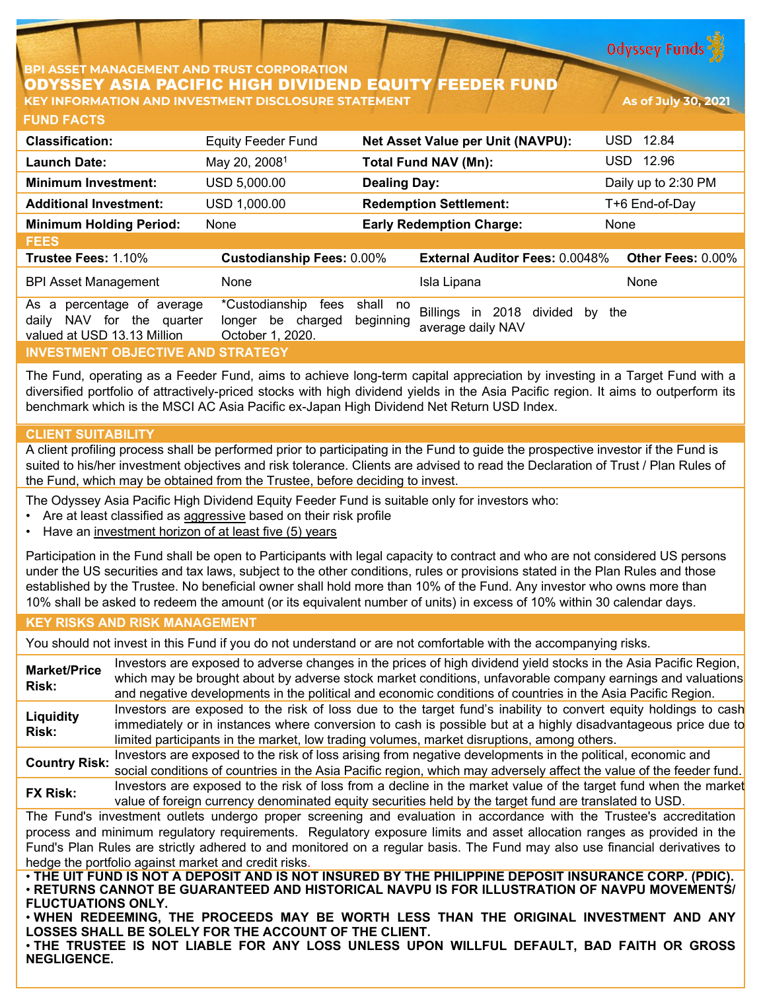**Odyssey Funds** 

### **BPI ASSET MANAGEMENT AND TRUST CORPORATION** ODYSSEY ASIA PACIFIC HIGH DIVIDEND EQUITY FEEDER FUND **KEY INFORMATION AND INVESTMENT DISCLOSURE STATEMENT As of July 30, 2021**

| <b>FUND FACTS</b>                                                                               |                                                                    |                          |                                                               |                     |
|-------------------------------------------------------------------------------------------------|--------------------------------------------------------------------|--------------------------|---------------------------------------------------------------|---------------------|
| <b>Classification:</b>                                                                          | <b>Equity Feeder Fund</b>                                          |                          | <b>Net Asset Value per Unit (NAVPU):</b>                      | 12.84<br>USD.       |
| <b>Launch Date:</b>                                                                             | May 20, 2008 <sup>1</sup>                                          |                          | <b>Total Fund NAV (Mn):</b>                                   | 12.96<br>USD.       |
| <b>Minimum Investment:</b>                                                                      | USD 5,000.00                                                       | <b>Dealing Day:</b>      |                                                               | Daily up to 2:30 PM |
| <b>Additional Investment:</b>                                                                   | USD 1,000.00                                                       |                          | <b>Redemption Settlement:</b>                                 | T+6 End-of-Day      |
| <b>Minimum Holding Period:</b>                                                                  | None                                                               |                          | <b>Early Redemption Charge:</b>                               | None                |
| <b>FEES</b>                                                                                     |                                                                    |                          |                                                               |                     |
| Trustee Fees: 1.10%                                                                             | <b>Custodianship Fees: 0.00%</b>                                   |                          | <b>External Auditor Fees: 0.0048%</b>                         | Other Fees: 0.00%   |
| <b>BPI Asset Management</b>                                                                     | None                                                               |                          | Isla Lipana                                                   | None                |
| percentage of<br>As a<br>average<br>NAV for the quarter<br>daily<br>valued at USD 13.13 Million | *Custodianship<br>fees<br>be charged<br>longer<br>October 1, 2020. | shall<br>no<br>beginning | <b>Billings</b><br>in 2018 divided<br>by<br>average daily NAV | the                 |
| <b>INVESTMENT OBJECTIVE AND STRATEGY</b>                                                        |                                                                    |                          |                                                               |                     |

The Fund, operating as a Feeder Fund, aims to achieve long-term capital appreciation by investing in a Target Fund with a diversified portfolio of attractively-priced stocks with high dividend yields in the Asia Pacific region. It aims to outperform its benchmark which is the MSCI AC Asia Pacific ex-Japan High Dividend Net Return USD Index.

# **CLIENT SUITABILITY**

A client profiling process shall be performed prior to participating in the Fund to guide the prospective investor if the Fund is suited to his/her investment objectives and risk tolerance. Clients are advised to read the Declaration of Trust / Plan Rules of the Fund, which may be obtained from the Trustee, before deciding to invest.

The Odyssey Asia Pacific High Dividend Equity Feeder Fund is suitable only for investors who:

- Are at least classified as aggressive based on their risk profile
- Have an investment horizon of at least five (5) years

Participation in the Fund shall be open to Participants with legal capacity to contract and who are not considered US persons under the US securities and tax laws, subject to the other conditions, rules or provisions stated in the Plan Rules and those established by the Trustee. No beneficial owner shall hold more than 10% of the Fund. Any investor who owns more than 10% shall be asked to redeem the amount (or its equivalent number of units) in excess of 10% within 30 calendar days.

#### **KEY RISKS AND RISK MANAGEMENT**

You should not invest in this Fund if you do not understand or are not comfortable with the accompanying risks.

**Market/Price Risk:** Investors are exposed to adverse changes in the prices of high dividend yield stocks in the Asia Pacific Region, which may be brought about by adverse stock market conditions, unfavorable company earnings and valuations and negative developments in the political and economic conditions of countries in the Asia Pacific Region. **Liquidity Risk:** Investors are exposed to the risk of loss due to the target fund's inability to convert equity holdings to cash immediately or in instances where conversion to cash is possible but at a highly disadvantageous price due to limited participants in the market, low trading volumes, market disruptions, among others. **Country Risk:** Investors are exposed to the risk of loss arising from negative developments in the political, economic and social conditions of countries in the Asia Pacific region, which may adversely affect the value of the feeder fund. **FX Risk:** Investors are exposed to the risk of loss from a decline in the market value of the target fund when the market value of foreign currency denominated equity securities held by the target fund are translated to USD. The Fund's investment outlets undergo proper screening and evaluation in accordance with the Trustee's accreditation process and minimum regulatory requirements. Regulatory exposure limits and asset allocation ranges as provided in the Fund's Plan Rules are strictly adhered to and monitored on a regular basis. The Fund may also use financial derivatives to hedge the portfolio against market and credit risks. . THE UIT FUND IS NOT A DEPOSIT AND IS NOT INSURED BY THE PHILIPPINE DEPOSIT INSURANCE CORP. (PDIC). • **RETURNS CANNOT BE GUARANTEED AND HISTORICAL NAVPU IS FOR ILLUSTRATION OF NAVPU MOVEMENTS/ FLUCTUATIONS ONLY.**

• **WHEN REDEEMING, THE PROCEEDS MAY BE WORTH LESS THAN THE ORIGINAL INVESTMENT AND ANY LOSSES SHALL BE SOLELY FOR THE ACCOUNT OF THE CLIENT.**

• **THE TRUSTEE IS NOT LIABLE FOR ANY LOSS UNLESS UPON WILLFUL DEFAULT, BAD FAITH OR GROSS NEGLIGENCE.**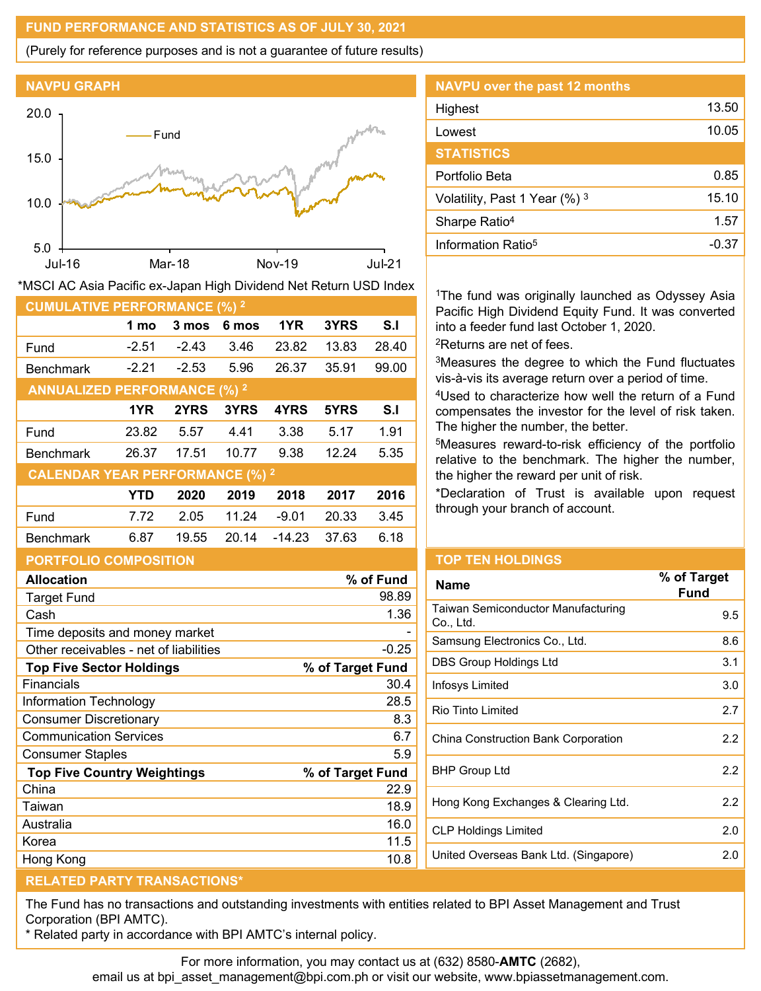### **FUND PERFORMANCE AND STATISTICS AS OF JULY 30, 2021**

(Purely for reference purposes and is not a guarantee of future results)



| *MSCI AC Asia Pacific ex-Japan High Dividend Net Return USD Index |         |         |       |          |       |       |
|-------------------------------------------------------------------|---------|---------|-------|----------|-------|-------|
| <b>CUMULATIVE PERFORMANCE (%) 2</b>                               |         |         |       |          |       |       |
|                                                                   | 1 mo    | 3 mos   | 6 mos | 1YR      | 3YRS  | S.I   |
| Fund                                                              | $-2.51$ | $-2.43$ | 3.46  | 23.82    | 13.83 | 28.40 |
| <b>Benchmark</b>                                                  | $-2.21$ | $-2.53$ | 5.96  | 26.37    | 35.91 | 99.00 |
| <b>ANNUALIZED PERFORMANCE (%) 2</b>                               |         |         |       |          |       |       |
|                                                                   | 1YR     | 2YRS    | 3YRS  | 4YRS     | 5YRS  | S.I   |
| Fund                                                              | 23.82   | 5.57    | 4.41  | 3.38     | 5.17  | 1.91  |
| <b>Benchmark</b>                                                  | 26.37   | 17.51   | 10.77 | 9.38     | 12.24 | 5.35  |
| <b>CALENDAR YEAR PERFORMANCE (%) 2</b>                            |         |         |       |          |       |       |
|                                                                   | YTD     | 2020    | 2019  | 2018     | 2017  | 2016  |
| Fund                                                              | 7.72    | 2.05    | 11.24 | $-9.01$  | 20.33 | 3.45  |
| <b>Benchmark</b>                                                  | 6.87    | 19.55   | 20.14 | $-14.23$ | 37.63 | 6.18  |

#### **PORTFOLIO COMPOSITION**

| % of Fund        |
|------------------|
| 98.89            |
| 1.36             |
|                  |
| $-0.25$          |
| % of Target Fund |
| 30.4             |
| 28.5             |
| 8.3              |
| 6.7              |
| 5.9              |
| % of Target Fund |
| 22.9             |
| 18.9             |
| 16.0             |
| 11.5             |
| 10.8             |
|                  |

| NAVPU over the past 12 months  |       |
|--------------------------------|-------|
| Highest                        | 13.50 |
| Lowest                         | 10.05 |
| <b>STATISTICS</b>              |       |
| Portfolio Beta                 | 0.85  |
| Volatility, Past 1 Year (%) 3  | 15.10 |
| Sharpe Ratio <sup>4</sup>      | 1.57  |
| Information Ratio <sup>5</sup> | -0.37 |

<sup>1</sup>The fund was originally launched as Odyssey Asia Pacific High Dividend Equity Fund. It was converted into a feeder fund last October 1, 2020.

2Returns are net of fees.

<sup>3</sup>Measures the degree to which the Fund fluctuates vis-à-vis its average return over a period of time.

4Used to characterize how well the return of a Fund compensates the investor for the level of risk taken. The higher the number, the better.

5Measures reward-to-risk efficiency of the portfolio relative to the benchmark. The higher the number, the higher the reward per unit of risk.

\*Declaration of Trust is available upon request through your branch of account.

#### **TOP TEN HOLDINGS**

| <b>Name</b>                                     | % of Target<br>Fund |
|-------------------------------------------------|---------------------|
| Taiwan Semiconductor Manufacturing<br>Co., Ltd. | 9.5                 |
| Samsung Electronics Co., Ltd.                   | 8.6                 |
| DBS Group Holdings Ltd                          | 3.1                 |
| Infosys Limited                                 | 3.0                 |
| <b>Rio Tinto Limited</b>                        | 2.7                 |
| China Construction Bank Corporation             | 2.2                 |
| <b>BHP Group Ltd</b>                            | 2.2                 |
| Hong Kong Exchanges & Clearing Ltd.             | 2.2                 |
| <b>CLP Holdings Limited</b>                     | 2.0                 |
| United Overseas Bank Ltd. (Singapore)           | 2.0                 |
|                                                 |                     |

## **RELATED PARTY TRANSACTIONS\***

The Fund has no transactions and outstanding investments with entities related to BPI Asset Management and Trust Corporation (BPI AMTC).

\* Related party in accordance with BPI AMTC's internal policy.

For more information, you may contact us at (632) 8580-**AMTC** (2682),

email us at bpi\_asset\_management@bpi.com.ph or visit our website, www.bpiassetmanagement.com.